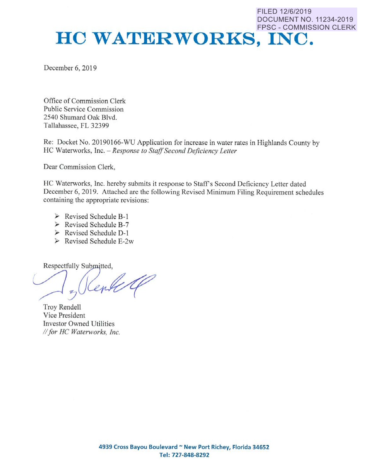# **FILED 12/6/2019 DOCUMENT NO. 11234-2019 FPSC - COMMISSION CLERK HC WATERWORKS, INC.**

December 6, 2019

Office of Commission Clerk Public Service Commission 2540 Shumard Oak Blvd. Tallahassee, **FL** 32399

Re: Docket No. 20190166-WU Application for increase in water rates in Highlands County by HC Waterworks, Inc. *- Response to Staff Second Deficiency Letter* 

Dear Commission Clerk,

HC Waterworks, Inc. hereby submits it response to Staff's Second Deficiency Letter dated December 6, 2019. Attached are the following Revised Minimum Filing Requirement schedules containing the appropriate revisions:

- $\triangleright$  Revised Schedule B-1
- > Revised Schedule **B-**7
- > Revised Schedule **D-1**
- $\triangleright$  Revised Schedule E-2w

Respectfully Submitted,

ente

Troy Rendell Vice President Investor Owned Utilities *II for HC Waterworks, Inc.*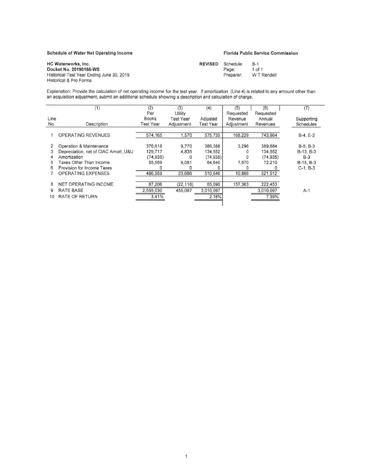## **Schedule** of **Water Net Operating** Income

## **Florida** Public **Service Commlaalon**

| HC Waterworks, Inc.                       | <b>REVISED</b> | Schedule: | $B-1$       |
|-------------------------------------------|----------------|-----------|-------------|
| Docket No. 20190166-WS                    |                | Page:     | 1 of 1      |
| Historical Test Year Ending June 30, 2019 |                | Preparer: | W T Rendell |
| Historical & Pro Forma                    |                |           |             |

Explanation: Provide the calculation of net operating income for the test year. If amortization (Line **4)** Is related to any amount other than an acquisition adjustment. submit an additional schedule showing a description and calculation of **charge,** 

|             | (1)                                   | (2)<br>Per                       | (3)<br>Utility          | (4)                          | (5)<br>Requested      | (6)<br>Requested   | (7)                     |
|-------------|---------------------------------------|----------------------------------|-------------------------|------------------------------|-----------------------|--------------------|-------------------------|
| Line<br>No. | Description                           | <b>Books</b><br><b>Test Year</b> | Test Year<br>Adjustment | Adjusted<br><b>Test Year</b> | Revenue<br>Adjustment | Annual<br>Revenues | Supporting<br>Schedules |
|             | OPERATING REVENUES                    | 574,165                          | 1,570                   | 575,735                      | 168,229               | 743,964            | $B-4, E-2$              |
|             | Operation & Maintenance               | 376,618                          | 9,770                   | 386,388                      | 3,296                 | 389,684            | $B-5, B-3$              |
|             | Depreciation, net of CIAC Amort., U&U | 129,717                          | 4,835                   | 134,552                      |                       | 134,552            | B-13, B-3               |
|             | Amortization                          | (74, 935)                        |                         | (74, 935)                    |                       | (74, 935)          | $B-3$                   |
|             | Taxes Other Than Income               | 55,559                           | 9.081                   | 64,640                       | 7,570                 | 72,210             | $B-15, B-3$             |
| 6           | Provision for Income Taxes            |                                  |                         |                              |                       |                    | $C-1, B-3$              |
|             | <b>OPERATING EXPENSES</b>             | 486,959                          | 23,686                  | 510,646                      | 10,866                | 521,512            |                         |
| 8           | <b>NET OPERATING INCOME</b>           | 87,206                           | (22, 116)               | 65,090                       | 157,363               | 222,453            |                         |
| 9           | RATE BASE                             | 2,555,030                        | 455,067                 | 3,010,097                    |                       | 3,010,097          | $A-1$                   |
| 10          | <b>RATE OF RETURN</b>                 | 3.41%                            |                         | 2.16%                        |                       | 7.39%              |                         |

 $\mathbf{1}$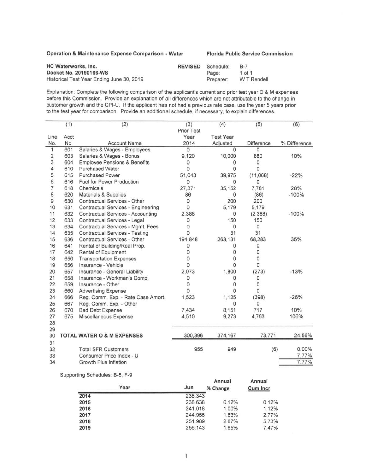Operation & Maintenance Expense comparison - **Water** Florlda Publlc **Service** Commission

| HC Waterworks, Inc.                       | <b>REVISED</b> | Schedule: | $B-7$       |
|-------------------------------------------|----------------|-----------|-------------|
| Docket No. 20190166-WS                    |                | Page:     | $1$ of $1$  |
| Historical Test Year Ending June 30, 2019 |                | Preparer: | W T Rendell |

Explanation: Complete the following comparison of the applicant's current and prior test year O & **M** expenses before this Commission. Provide an explanation of all differences which are not attributable to the change in customer growth and the CPI-U. If the applicant has not had a previous rate case, use the year 5 years prior to the test year for comparison. Provide an additional schedule, if necessary, to explain differences.

|                         | (1)         | (2)                                                                 | (3)        | (4)                  | (5)             | (6)          |
|-------------------------|-------------|---------------------------------------------------------------------|------------|----------------------|-----------------|--------------|
|                         |             |                                                                     | Prior Test |                      |                 |              |
| Line                    | Acct<br>No. | <b>Account Name</b>                                                 | Year       | <b>Test Year</b>     |                 |              |
| No.<br>1                | 601         | Salaries & Wages - Employees                                        | 2014<br>0  | Adjusted<br>$\Omega$ | Difference<br>0 | % Difference |
| $\overline{\mathbf{c}}$ | 603         |                                                                     | 9,120      | 10,000               | 880             | 10%          |
| 3                       | 604         | Salaries & Wages - Bonus<br><b>Employee Pensions &amp; Benefits</b> |            | 0                    | 0               |              |
| 4                       | 610         | <b>Purchased Water</b>                                              | O<br>O     | O                    | 0               |              |
| 5                       | 615         | <b>Purchased Power</b>                                              | 51,043     | 39,975               | (11,068)        | $-22%$       |
| 6                       | 616         | Fuel for Power Production                                           | 0          | O                    | 0               |              |
| $\overline{7}$          | 618         | Chemicals                                                           | 27,371     |                      | 7,781           | 28%          |
| 8                       | 620         |                                                                     |            | 35,152               |                 |              |
| 9                       | 630         | Materials & Supplies<br>Contractual Services - Other                | 86<br>O    | 0<br>200             | (86)<br>200     | $-100%$      |
| 10                      |             |                                                                     | O          |                      |                 |              |
| 11                      | 631<br>632  | Contractual Services - Engineering                                  |            | 5,179                | 5,179           | $-100%$      |
| 12                      | 633         | Contractual Services - Accounting                                   | 2,388      | 0                    | (2,388)         |              |
| 13                      | 634         | Contractual Services - Legal                                        | 0<br>O     | 150<br>0             | 150<br>0        |              |
| 14                      | 635         | Contractual Services - Mgmt. Fees                                   | O          | 31                   | 31              |              |
| 15                      | 636         | Contractual Services - Testing<br>Contractual Services - Other      | 194,848    |                      | 68,283          | 35%          |
| 16                      |             |                                                                     |            | 263,131              |                 |              |
| 17                      | 641         | Rental of Building/Real Prop.                                       | 0<br>O     | 0                    | 0<br>0          |              |
|                         | 642         | Rental of Equipment                                                 | O          | 0                    | 0               |              |
| 18                      | 650         | <b>Transportation Expenses</b>                                      | O          | 0<br>$\Omega$        | 0               |              |
| 19                      | 656         | Insurance - Vehicle                                                 |            |                      |                 |              |
| 20                      | 657         | Insurance - General Liability                                       | 2,073      | 1,800                | (273)           | $-13%$       |
| 21                      | 658         | Insurance - Workman's Comp.                                         | O          | 0                    | 0               |              |
| 22                      | 659         | Insurance - Other                                                   | O          | 0                    | 0               |              |
| 23                      | 660         | <b>Advertising Expense</b>                                          | O          | 0                    | 0               |              |
| 24                      | 666         | Reg. Comm. Exp. - Rate Case Amort.                                  | 1,523      | 1,125                | (398)           | $-26%$       |
| 25                      | 667         | Reg. Comm. Exp. - Other                                             |            | $\Omega$             | 0               |              |
| 26                      | 670         | <b>Bad Debt Expense</b>                                             | 7,434      | 8,151                | 717             | 10%          |
| 27                      | 675         | Miscellaneous Expense                                               | 4,510      | 9,273                | 4,763           | 106%         |
| 28                      |             |                                                                     |            |                      |                 |              |
| 29                      |             |                                                                     |            |                      |                 |              |
| 30                      |             | <b>TOTAL WATER O &amp; M EXPENSES</b>                               | 300,396    | 374,167              | 73,771          | 24.56%       |
| 31                      |             |                                                                     |            |                      |                 |              |
| 32                      |             | <b>Total SFR Customers</b>                                          | 955        | 949                  | (6)             | $0.00\%$     |
| 33                      |             | Consumer Price Index - U                                            |            |                      |                 | 7.77%        |
| 34                      |             | Growth Plus Inflation                                               |            |                      |                 | 7.77%        |

Supporting Schedules: B-5, F-9

| Year | Jun     | Annual<br>% Change | Annual<br>Cum Incr |
|------|---------|--------------------|--------------------|
| 2014 | 238.343 |                    |                    |
| 2015 | 238.638 | 0.12%              | 0.12%              |
| 2016 | 241.018 | 1.00%              | 1.12%              |
| 2017 | 244.955 | 1.63%              | 2.77%              |
| 2018 | 251.989 | 2.87%              | 5.73%              |
| 2019 | 256.143 | 1.65%              | 7.47%              |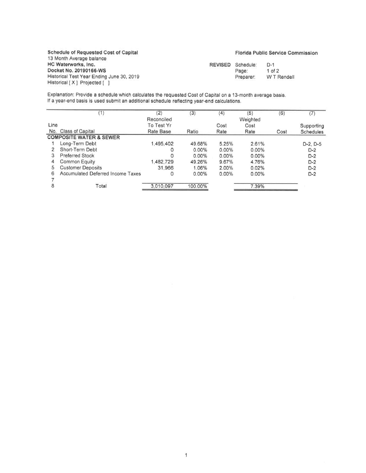Schedule of Requested Cost of Capital 13 Month Average balance HC Waterworks, Inc. Docket No. 20190166-WS Historical Test Year Ending June 30, 2019 Historical [ X ] Projected [ ]

## Florida Public Service Commission

| REVISED | Schedule: | $D-1$       |
|---------|-----------|-------------|
|         | Page:     | $1$ of $2$  |
|         | Preparer: | W T Rendell |

Explanation: Provide a schedule which calculates the requested Cost of Capital on **a** 13-month average basis. If **a** year-end basis is used submit an additional schedule reflecting year-end calculations.

|      | (1)                                      | (2)        | (3)      | (4)      | (5)      | (6)  | (7)              |
|------|------------------------------------------|------------|----------|----------|----------|------|------------------|
|      |                                          | Reconciled |          |          | Weighted |      |                  |
| Line |                                          | To Test Yr |          | Cost     | Cost     |      | Supporting       |
|      | No. Class of Capital                     | Rate Base  | Ratio    | Rate     | Rate     | Cost | <b>Schedules</b> |
|      | <b>COMPOSITE WATER &amp; SEWER</b>       |            |          |          |          |      |                  |
|      | Long-Term Debt                           | 1,495,402  | 49.68%   | 5.25%    | 2.61%    |      | D-2, D-5         |
|      | Short-Term Debt                          |            | $0.00\%$ | $0.00\%$ | 0.00%    |      | $D-2$            |
|      | <b>Preferred Stock</b>                   |            | 0.00%    | $0.00\%$ | $0.00\%$ |      | $D-2$            |
| 4    | <b>Common Equity</b>                     | 1,482,729  | 49.26%   | 9.67%    | 4.76%    |      | $D-2$            |
| 5    | <b>Customer Deposits</b>                 | 31,966     | 1.06%    | 2.00%    | 0.02%    |      | $D-2$            |
| 6    | <b>Accumulated Deferred Income Taxes</b> | 0          | $0.00\%$ | $0.00\%$ | 0.00%    |      | $D-2$            |
|      |                                          |            |          |          |          |      |                  |
| 8    | Total                                    | 3,010,097  | 100.00%  |          | 7.39%    |      |                  |